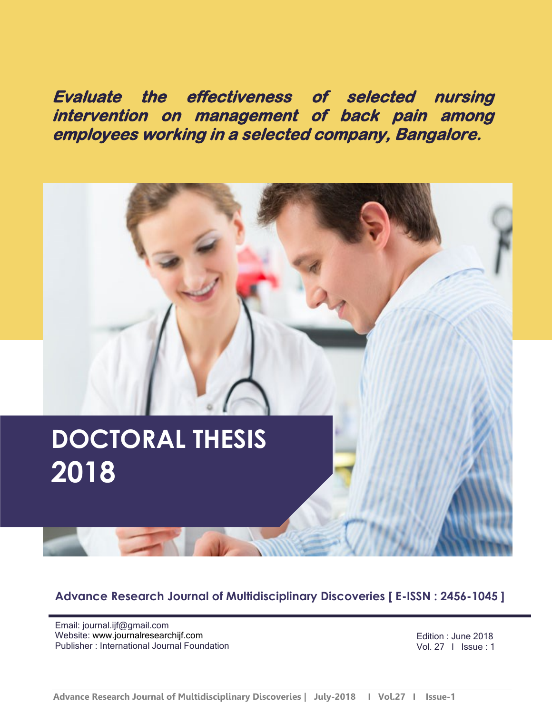**Evaluate the effectiveness of selected nursing intervention on management of back pain among employees working in a selected company, Bangalore.** 



**Advance Research Journal of Multidisciplinary Discoveries [ E-ISSN : 2456-1045 ]**

Email: journal.ijf@gmail.com Website: [www.journalresearchijf.com](http://www.journalresearchijf.com/) Publisher : International Journal Foundation

Edition : June 2018 Vol. 27 I Issue : 1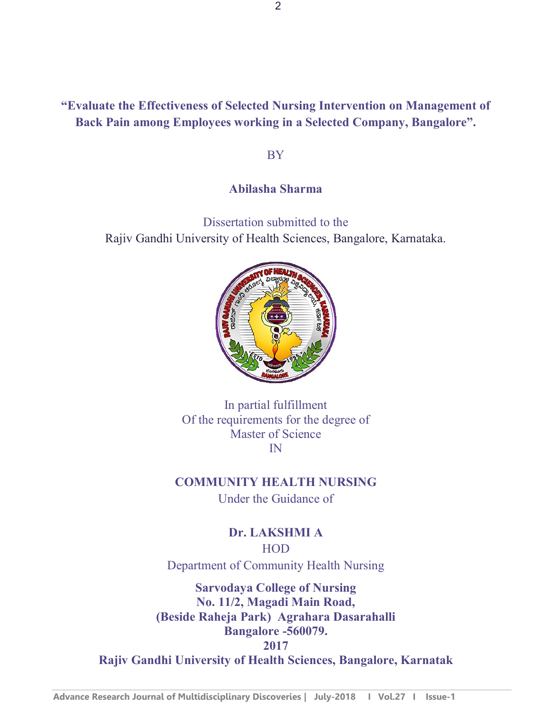### **"Evaluate the Effectiveness of Selected Nursing Intervention on Management of Back Pain among Employees working in a Selected Company, Bangalore".**

BY

#### **Abilasha Sharma**

Dissertation submitted to the Rajiv Gandhi University of Health Sciences, Bangalore, Karnataka.



In partial fulfillment Of the requirements for the degree of Master of Science IN

**COMMUNITY HEALTH NURSING**

Under the Guidance of

**Dr. LAKSHMI A** HOD Department of Community Health Nursing

**Sarvodaya College of Nursing No. 11/2, Magadi Main Road, (Beside Raheja Park) Agrahara Dasarahalli Bangalore -560079. 2017**

**Rajiv Gandhi University of Health Sciences, Bangalore, Karnatak**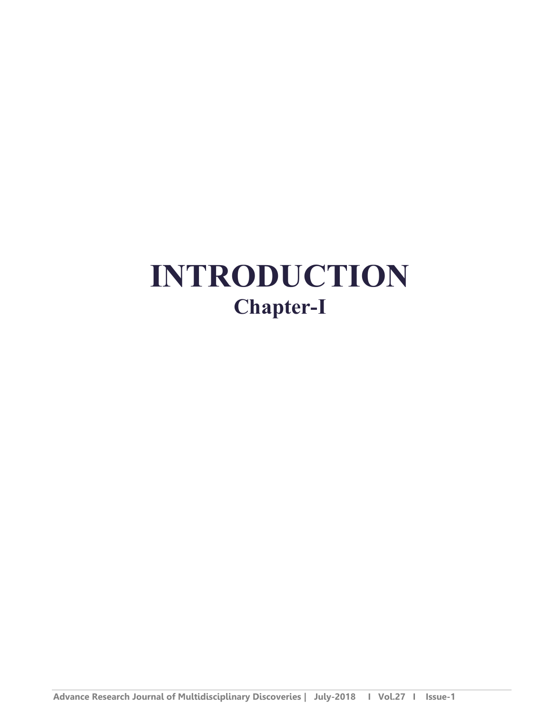# **INTRODUCTION Chapter-I**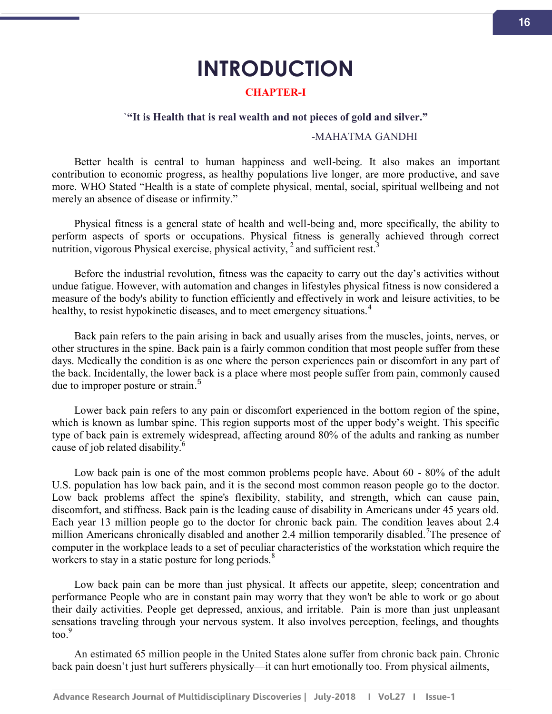## **INTRODUCTION**

#### **CHAPTER-I**

#### `**"It is Health that is real wealth and not pieces of gold and silver."**

#### -MAHATMA GANDHI

Better health is central to human happiness and well-being. It also makes an important contribution to economic progress, as healthy populations live longer, are more productive, and save more. WHO Stated "Health is a state of complete physical, mental, social, spiritual wellbeing and not merely an absence of disease or infirmity."

Physical fitness is a general state of health and well-being and, more specifically, the ability to perform aspects of sports or occupations. Physical fitness is generally achieved through correct nutrition, vigorous Physical exercise, physical activity,  $\frac{2}{3}$  and sufficient rest.<sup>3</sup>

Before the industrial revolution, fitness was the capacity to carry out the day's activities without undue fatigue. However, with automation and changes in lifestyles physical fitness is now considered a measure of the body's ability to function efficiently and effectively in work and leisure activities, to be healthy, to resist hypokinetic diseases, and to meet emergency situations.<sup>4</sup>

Back pain refers to the pain arising in back and usually arises from the muscles, joints, nerves, or other structures in the spine. Back pain is a fairly common condition that most people suffer from these days. Medically the condition is as one where the person experiences pain or discomfort in any part of the back. Incidentally, the lower back is a place where most people suffer from pain, commonly caused due to improper posture or strain.<sup>5</sup>

Lower back pain refers to any pain or discomfort experienced in the bottom region of the spine, which is known as lumbar spine. This region supports most of the upper body's weight. This specific type of back pain is extremely widespread, affecting around 80% of the adults and ranking as number cause of job related disability.<sup>6</sup>

Low back pain is one of the most common problems people have. About 60 - 80% of the adult U.S. population has low back pain, and it is the second most common reason people go to the doctor. Low back problems affect the spine's flexibility, stability, and strength, which can cause pain, discomfort, and stiffness. Back pain is the leading cause of disability in Americans under 45 years old. Each year 13 million people go to the doctor for chronic back pain. The condition leaves about 2.4 million Americans chronically disabled and another 2.4 million temporarily disabled.<sup>7</sup>The presence of computer in the workplace leads to a set of peculiar characteristics of the workstation which require the workers to stay in a static posture for long periods.<sup>8</sup>

Low back pain can be more than just physical. It affects our appetite, sleep; concentration and performance People who are in constant pain may worry that they won't be able to work or go about their daily activities. People get depressed, anxious, and irritable. Pain is more than just unpleasant sensations traveling through your nervous system. It also involves perception, feelings, and thoughts  $\frac{9}{9}$ 

An estimated 65 million people in the United States alone suffer from chronic back pain. Chronic back pain doesn't just hurt sufferers physically—it can hurt emotionally too. From physical ailments,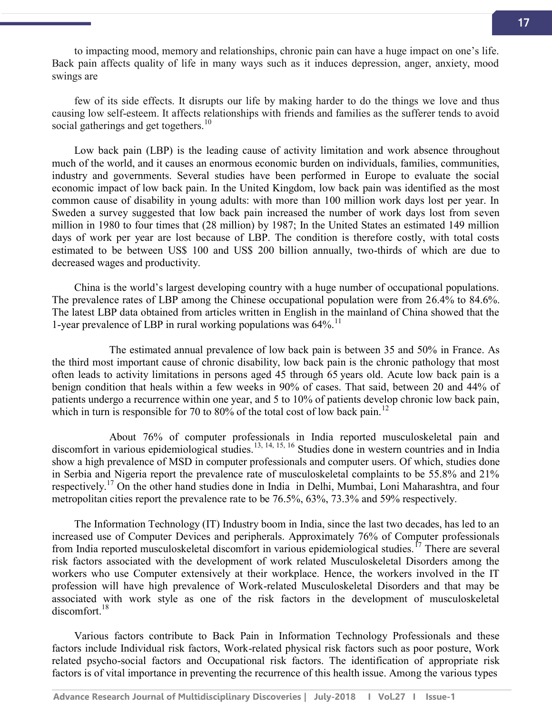to impacting mood, memory and relationships, chronic pain can have a huge impact on one's life. Back pain affects quality of life in many ways such as it induces depression, anger, anxiety, mood swings are

few of its side effects. It disrupts our life by making harder to do the things we love and thus causing low self-esteem. It affects relationships with friends and families as the sufferer tends to avoid social gatherings and get togethers.<sup>10</sup>

Low back pain (LBP) is the leading cause of activity limitation and work absence throughout much of the world, and it causes an enormous economic burden on individuals, families, communities, industry and governments. Several studies have been performed in Europe to evaluate the social economic impact of low back pain. In the United Kingdom, low back pain was identified as the most common cause of disability in young adults: with more than 100 million work days lost per year. In Sweden a survey suggested that low back pain increased the number of work days lost from seven million in 1980 to four times that (28 million) by 1987; In the United States an estimated 149 million days of work per year are lost because of LBP. The condition is therefore costly, with total costs estimated to be between US\$ 100 and US\$ 200 billion annually, two-thirds of which are due to decreased wages and productivity.

China is the world's largest developing country with a huge number of occupational populations. The prevalence rates of LBP among the Chinese occupational population were from 26.4% to 84.6%. The latest LBP data obtained from articles written in English in the mainland of China showed that the 1-year prevalence of LBP in rural working populations was  $64\%$ .<sup>11</sup>

The estimated annual prevalence of low back pain is between 35 and 50% in France. As the third most important cause of chronic disability, low back pain is the chronic pathology that most often leads to activity limitations in persons aged 45 through 65 years old. Acute low back pain is a benign condition that heals within a few weeks in 90% of cases. That said, between 20 and 44% of patients undergo a recurrence within one year, and 5 to 10% of patients develop chronic low back pain, which in turn is responsible for 70 to 80% of the total cost of low back pain.<sup>12</sup>

About 76% of computer professionals in India reported musculoskeletal pain and discomfort in various epidemiological studies.<sup>13, 14, 15, 16</sup> Studies done in western countries and in India show a high prevalence of MSD in computer professionals and computer users. Of which, studies done in Serbia and Nigeria report the prevalence rate of musculoskeletal complaints to be 55.8% and 21% respectively.<sup>17</sup> On the other hand studies done in India in Delhi, Mumbai, Loni Maharashtra, and four metropolitan cities report the prevalence rate to be 76.5%, 63%, 73.3% and 59% respectively.

The Information Technology (IT) Industry boom in India, since the last two decades, has led to an increased use of Computer Devices and peripherals. Approximately 76% of Computer professionals from India reported musculoskeletal discomfort in various epidemiological studies.<sup>17</sup> There are several risk factors associated with the development of work related Musculoskeletal Disorders among the workers who use Computer extensively at their workplace. Hence, the workers involved in the IT profession will have high prevalence of Work-related Musculoskeletal Disorders and that may be associated with work style as one of the risk factors in the development of musculoskeletal discomfort.<sup>18</sup>

Various factors contribute to Back Pain in Information Technology Professionals and these factors include Individual risk factors, Work-related physical risk factors such as poor posture, Work related psycho-social factors and Occupational risk factors. The identification of appropriate risk factors is of vital importance in preventing the recurrence of this health issue. Among the various types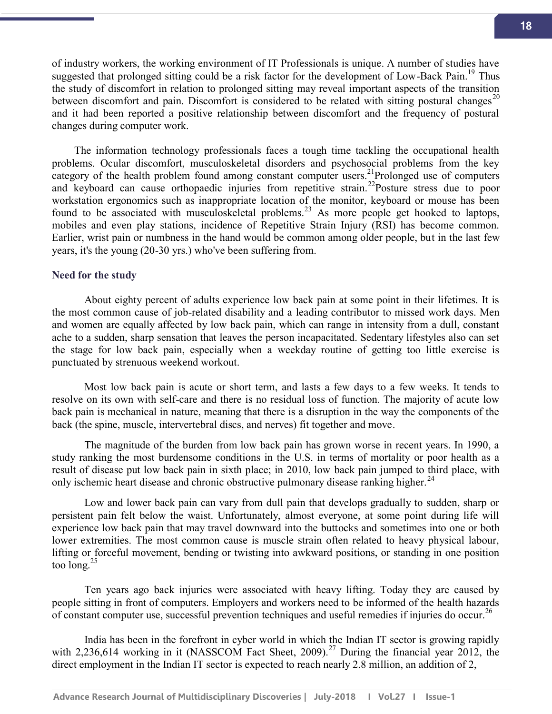of industry workers, the working environment of IT Professionals is unique. A number of studies have suggested that prolonged sitting could be a risk factor for the development of Low-Back Pain.<sup>19</sup> Thus the study of discomfort in relation to prolonged sitting may reveal important aspects of the transition between discomfort and pain. Discomfort is considered to be related with sitting postural changes<sup>20</sup> and it had been reported a positive relationship between discomfort and the frequency of postural changes during computer work.

The information technology professionals faces a tough time tackling the occupational health problems. Ocular discomfort, musculoskeletal disorders and psychosocial problems from the key category of the health problem found among constant computer users.<sup>21</sup>Prolonged use of computers and keyboard can cause orthopaedic injuries from repetitive strain.<sup>22</sup>Posture stress due to poor workstation ergonomics such as inappropriate location of the monitor, keyboard or mouse has been found to be associated with musculoskeletal problems.<sup>23</sup> As more people get hooked to laptops, mobiles and even play stations, incidence of Repetitive Strain Injury (RSI) has become common. Earlier, wrist pain or numbness in the hand would be common among older people, but in the last few years, it's the young (20-30 yrs.) who've been suffering from.

#### **Need for the study**

About eighty percent of adults experience low back pain at some point in their lifetimes. It is the most common cause of job-related disability and a leading contributor to missed work days. Men and women are equally affected by low back pain, which can range in intensity from a dull, constant ache to a sudden, sharp sensation that leaves the person incapacitated. Sedentary lifestyles also can set the stage for low back pain, especially when a weekday routine of getting too little exercise is punctuated by strenuous weekend workout.

Most low back pain is acute or short term, and lasts a few days to a few weeks. It tends to resolve on its own with self-care and there is no residual loss of function. The majority of acute low back pain is mechanical in nature, meaning that there is a disruption in the way the components of the back (the spine, muscle, intervertebral discs, and nerves) fit together and move.

The magnitude of the burden from low back pain has grown worse in recent years. In 1990, a study ranking the most burdensome conditions in the U.S. in terms of mortality or poor health as a result of disease put low back pain in sixth place; in 2010, low back pain jumped to third place, with only ischemic heart disease and chronic obstructive pulmonary disease ranking higher.<sup>24</sup>

Low and lower back pain can vary from dull pain that develops gradually to sudden, sharp or persistent pain felt below the waist. Unfortunately, almost everyone, at some point during life will experience low back pain that may travel downward into the buttocks and sometimes into one or both lower extremities. The most common cause is muscle strain often related to heavy physical labour, lifting or forceful movement, bending or twisting into awkward positions, or standing in one position too long. $25$ 

Ten years ago back injuries were associated with heavy lifting. Today they are caused by people sitting in front of computers. Employers and workers need to be informed of the health hazards of constant computer use, successful prevention techniques and useful remedies if injuries do occur.<sup>26</sup>

India has been in the forefront in cyber world in which the Indian IT sector is growing rapidly with 2,236,614 working in it (NASSCOM Fact Sheet, 2009).<sup>27</sup> During the financial year 2012, the direct employment in the Indian IT sector is expected to reach nearly 2.8 million, an addition of 2,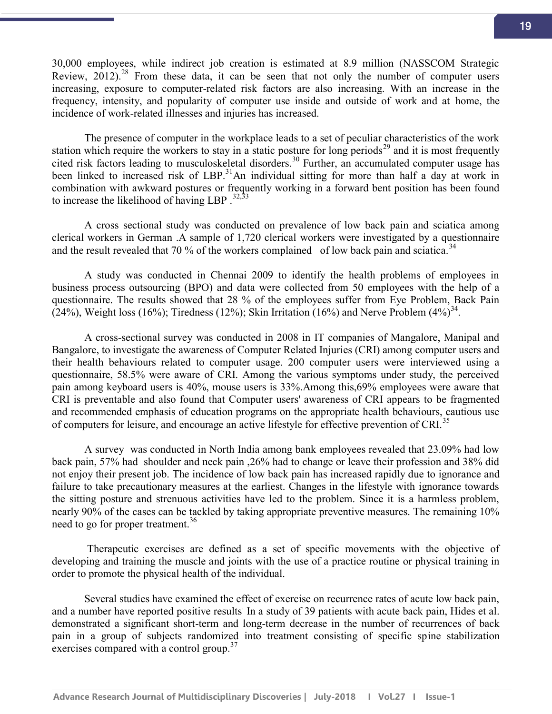30,000 employees, while indirect job creation is estimated at 8.9 million (NASSCOM Strategic Review,  $2012$ ).<sup>28</sup> From these data, it can be seen that not only the number of computer users increasing, exposure to computer-related risk factors are also increasing. With an increase in the frequency, intensity, and popularity of computer use inside and outside of work and at home, the incidence of work-related illnesses and injuries has increased.

The presence of computer in the workplace leads to a set of peculiar characteristics of the work station which require the workers to stay in a static posture for long periods<sup>29</sup> and it is most frequently cited risk factors leading to musculoskeletal disorders.<sup>30</sup> Further, an accumulated computer usage has been linked to increased risk of LBP.<sup>31</sup>An individual sitting for more than half a day at work in combination with awkward postures or frequently working in a forward bent position has been found to increase the likelihood of having LBP  $.^{32,33}$ 

A cross sectional study was conducted on prevalence of low back pain and sciatica among clerical workers in German .A sample of 1,720 clerical workers were investigated by a questionnaire and the result revealed that 70 % of the workers complained of low back pain and sciatica.<sup>34</sup>

A study was conducted in Chennai 2009 to identify the health problems of employees in business process outsourcing (BPO) and data were collected from 50 employees with the help of a questionnaire. The results showed that 28 % of the employees suffer from Eye Problem, Back Pain  $(24%)$ , Weight loss (16%); Tiredness (12%); Skin Irritation (16%) and Nerve Problem  $(4%)^{34}$ .

A cross-sectional survey was conducted in 2008 in IT companies of Mangalore, Manipal and Bangalore, to investigate the awareness of Computer Related Injuries (CRI) among computer users and their health behaviours related to computer usage. 200 computer users were interviewed using a questionnaire, 58.5% were aware of CRI. Among the various symptoms under study, the perceived pain among keyboard users is 40%, mouse users is 33%.Among this,69% employees were aware that CRI is preventable and also found that Computer users' awareness of CRI appears to be fragmented and recommended emphasis of education programs on the appropriate health behaviours, cautious use of computers for leisure, and encourage an active lifestyle for effective prevention of CRI.<sup>35</sup>

A survey was conducted in North India among bank employees revealed that 23.09% had low back pain, 57% had shoulder and neck pain ,26% had to change or leave their profession and 38% did not enjoy their present job. The incidence of low back pain has increased rapidly due to ignorance and failure to take precautionary measures at the earliest. Changes in the lifestyle with ignorance towards the sitting posture and strenuous activities have led to the problem. Since it is a harmless problem, nearly 90% of the cases can be tackled by taking appropriate preventive measures. The remaining 10% need to go for proper treatment.<sup>36</sup>

 Therapeutic exercises are defined as a set of specific movements with the objective of developing and training the muscle and joints with the use of a practice routine or physical training in order to promote the physical health of the individual.

Several studies have examined the effect of exercise on recurrence rates of acute low back pain, and a number have reported positive results. In a study of 39 patients with acute back pain, Hides et al. demonstrated a significant short-term and long-term decrease in the number of recurrences of back pain in a group of subjects randomized into treatment consisting of specific spine stabilization exercises compared with a control group.<sup>37</sup>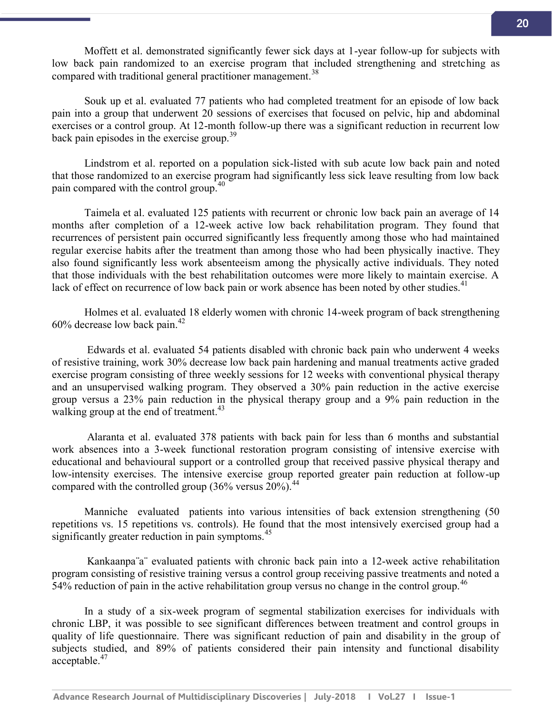Moffett et al. demonstrated significantly fewer sick days at 1-year follow-up for subjects with low back pain randomized to an exercise program that included strengthening and stretching as compared with traditional general practitioner management.<sup>38</sup>

Souk up et al. evaluated 77 patients who had completed treatment for an episode of low back pain into a group that underwent 20 sessions of exercises that focused on pelvic, hip and abdominal exercises or a control group. At 12-month follow-up there was a significant reduction in recurrent low back pain episodes in the exercise group.<sup>39</sup>

Lindstrom et al. reported on a population sick-listed with sub acute low back pain and noted that those randomized to an exercise program had significantly less sick leave resulting from low back pain compared with the control group.<sup>40</sup>

Taimela et al. evaluated 125 patients with recurrent or chronic low back pain an average of 14 months after completion of a 12-week active low back rehabilitation program. They found that recurrences of persistent pain occurred significantly less frequently among those who had maintained regular exercise habits after the treatment than among those who had been physically inactive. They also found significantly less work absenteeism among the physically active individuals. They noted that those individuals with the best rehabilitation outcomes were more likely to maintain exercise. A lack of effect on recurrence of low back pain or work absence has been noted by other studies.<sup>41</sup>

Holmes et al. evaluated 18 elderly women with chronic 14-week program of back strengthening  $60\%$  decrease low back pain.<sup>42</sup>

Edwards et al. evaluated 54 patients disabled with chronic back pain who underwent 4 weeks of resistive training, work 30% decrease low back pain hardening and manual treatments active graded exercise program consisting of three weekly sessions for 12 weeks with conventional physical therapy and an unsupervised walking program. They observed a 30% pain reduction in the active exercise group versus a 23% pain reduction in the physical therapy group and a 9% pain reduction in the walking group at the end of treatment.<sup>43</sup>

Alaranta et al. evaluated 378 patients with back pain for less than 6 months and substantial work absences into a 3-week functional restoration program consisting of intensive exercise with educational and behavioural support or a controlled group that received passive physical therapy and low-intensity exercises. The intensive exercise group reported greater pain reduction at follow-up compared with the controlled group  $(36\% \text{ versus } 20\%)$ .<sup>44</sup>

Manniche evaluated patients into various intensities of back extension strengthening (50 repetitions vs. 15 repetitions vs. controls). He found that the most intensively exercised group had a significantly greater reduction in pain symptoms. $45$ 

Kankaanpa¨a¨ evaluated patients with chronic back pain into a 12-week active rehabilitation program consisting of resistive training versus a control group receiving passive treatments and noted a 54% reduction of pain in the active rehabilitation group versus no change in the control group.<sup>46</sup>

In a study of a six-week program of segmental stabilization exercises for individuals with chronic LBP, it was possible to see significant differences between treatment and control groups in quality of life questionnaire. There was significant reduction of pain and disability in the group of subjects studied, and 89% of patients considered their pain intensity and functional disability acceptable.<sup>47</sup>